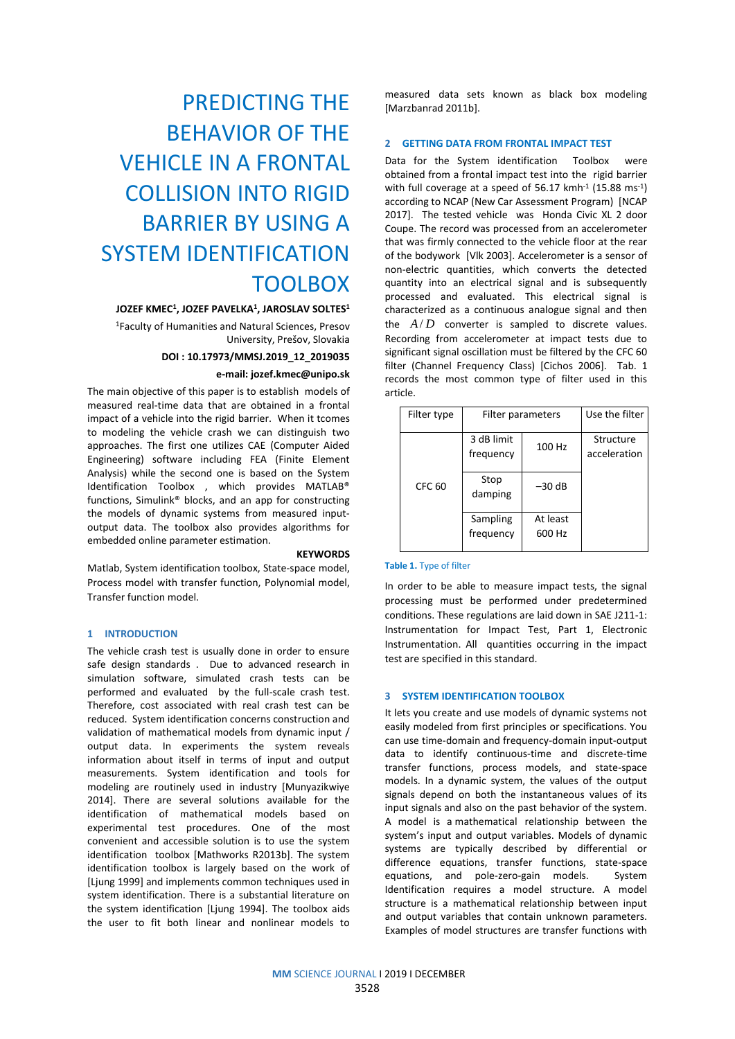# PREDICTING THE BEHAVIOR OF THE VEHICLE IN A FRONTAL COLLISION INTO RIGID BARRIER BY USING A SYSTEM IDENTIFICATION TOOLBOX

#### **JOZEF KMEC<sup>1</sup> , JOZEF PAVELKA<sup>1</sup> , JAROSLAV SOLTES 1**

<sup>1</sup>Faculty of Humanities and Natural Sciences, Presov University, Prešov, Slovakia

## **DOI : 10.17973/MMSJ.2019\_12\_2019035**

## **e-mail: jozef.kmec@unipo.sk**

The main objective of this paper is to establish models of measured real-time data that are obtained in a frontal impact of a vehicle into the rigid barrier. When it tcomes to modeling the vehicle crash we can distinguish two approaches. The first one utilizes CAE (Computer Aided Engineering) software including FEA (Finite Element Analysis) while the second one is based on the System Identification Toolbox , which provides MATLAB® functions, Simulink® blocks, and an app for constructing the models of dynamic systems from measured inputoutput data. The toolbox also provides algorithms for embedded online parameter estimation.

#### **KEYWORDS**

Matlab, System identification toolbox, State-space model, Process model with transfer function, Polynomial model, Transfer function model.

#### **1 INTRODUCTION**

The vehicle crash test is usually done in order to ensure safe design standards . Due to advanced research in simulation software, simulated crash tests can be performed and evaluated by the full-scale crash test. Therefore, cost associated with real crash test can be reduced. System identification concerns construction and validation of mathematical models from dynamic input / output data. In experiments the system reveals information about itself in terms of input and output measurements. System identification and tools for modeling are routinely used in industry [Munyazikwiye 2014]. There are several solutions available for the identification of mathematical models based on experimental test procedures. One of the most convenient and accessible solution is to use the system identification toolbox [Mathworks R2013b]. The system identification toolbox is largely based on the work of [Ljung 1999] and implements common techniques used in system identification. There is a substantial literature on the system identification [Ljung 1994]. The toolbox aids the user to fit both linear and nonlinear models to measured data sets known as black box modeling [Marzbanrad 2011b].

## **2 GETTING DATA FROM FRONTAL IMPACT TEST**

Data for the System identification Toolbox were obtained from a frontal impact test into the rigid barrier with full coverage at a speed of 56.17 kmh<sup>-1</sup> (15.88 ms<sup>-1</sup>) according to NCAP (New Car Assessment Program) [NCAP 2017]. The tested vehicle was Honda Civic XL 2 door Coupe. The record was processed from an accelerometer that was firmly connected to the vehicle floor at the rear of the bodywork [Vlk 2003]. Accelerometer is a sensor of non-electric quantities, which converts the detected quantity into an electrical signal and is subsequently processed and evaluated. This electrical signal is characterized as a continuous analogue signal and then the  $A/D$  converter is sampled to discrete values. Recording from accelerometer at impact tests due to significant signal oscillation must be filtered by the CFC 60 filter (Channel Frequency Class) [Cichos 2006]. Tab. 1 records the most common type of filter used in this article.

| Filter type | Filter parameters       | Use the filter     |                           |
|-------------|-------------------------|--------------------|---------------------------|
| CFC 60      | 3 dB limit<br>frequency | 100 Hz             | Structure<br>acceleration |
|             | Stop<br>damping         | $-30$ dB           |                           |
|             | Sampling<br>frequency   | At least<br>600 Hz |                           |

#### **Table 1.** Type of filter

In order to be able to measure impact tests, the signal processing must be performed under predetermined conditions. These regulations are laid down in SAE J211-1: Instrumentation for Impact Test, Part 1, Electronic Instrumentation. All quantities occurring in the impact test are specified in this standard.

#### **3 SYSTEM IDENTIFICATION TOOLBOX**

It lets you create and use models of dynamic systems not easily modeled from first principles or specifications. You can use time-domain and frequency-domain input-output data to identify continuous-time and discrete-time transfer functions, process models, and state-space models. In a dynamic system, the values of the output signals depend on both the instantaneous values of its input signals and also on the past behavior of the system. A model is a mathematical relationship between the system's input and output variables. Models of dynamic systems are typically described by differential or difference equations, transfer functions, state-space equations, and pole-zero-gain models. System Identification requires a model structure. A model structure is a mathematical relationship between input and output variables that contain unknown parameters. Examples of model structures are transfer functions with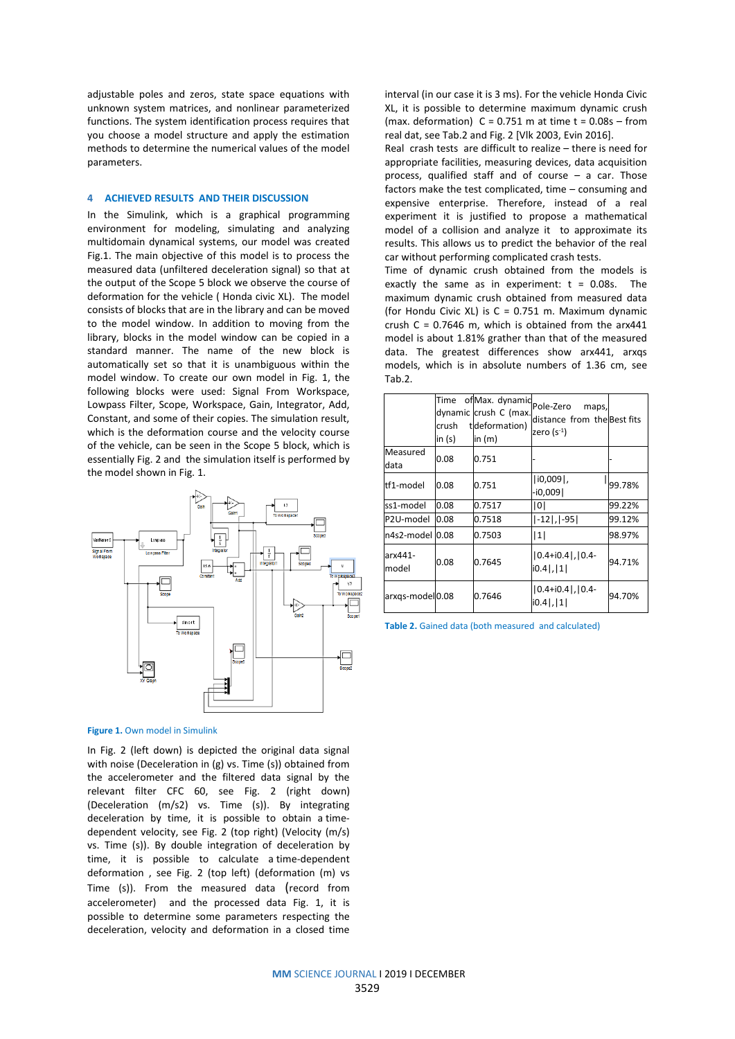adjustable poles and zeros, state space equations with unknown system matrices, and nonlinear parameterized functions. The system identification process requires that you choose a model structure and apply the estimation methods to determine the numerical values of the model parameters.

## **4 ACHIEVED RESULTS AND THEIR DISCUSSION**

In the Simulink, which is a graphical programming environment for modeling, simulating and analyzing multidomain dynamical systems, our model was created Fig.1. The main objective of this model is to process the measured data (unfiltered deceleration signal) so that at the output of the Scope 5 block we observe the course of deformation for the vehicle ( Honda civic XL). The model consists of blocks that are in the library and can be moved to the model window. In addition to moving from the library, blocks in the model window can be copied in a standard manner. The name of the new block is automatically set so that it is unambiguous within the model window. To create our own model in Fig. 1, the following blocks were used: Signal From Workspace, Lowpass Filter, Scope, Workspace, Gain, Integrator, Add, Constant, and some of their copies. The simulation result, which is the deformation course and the velocity course of the vehicle, can be seen in the Scope 5 block, which is essentially Fig. 2 and the simulation itself is performed by the model shown in Fig. 1.



**Figure 1.** Own model in Simulink

In Fig. 2 (left down) is depicted the original data signal with noise (Deceleration in (g) vs. Time (s)) obtained from the accelerometer and the filtered data signal by the relevant filter CFC 60, see Fig. 2 (right down) (Deceleration (m/s2) vs. Time (s)). By integrating deceleration by time, it is possible to obtain a timedependent velocity, see Fig. 2 (top right) (Velocity (m/s) vs. Time (s)). By double integration of deceleration by time, it is possible to calculate a time-dependent deformation , see Fig. 2 (top left) (deformation (m) vs Time (s)). From the measured data (record from accelerometer) and the processed data Fig. 1, it is possible to determine some parameters respecting the deceleration, velocity and deformation in a closed time

interval (in our case it is 3 ms). For the vehicle Honda Civic XL, it is possible to determine maximum dynamic crush (max. deformation)  $C = 0.751$  m at time  $t = 0.08s - from$ real dat, see Tab.2 and Fig. 2 [Vlk 2003, Evin 2016].

Real crash tests are difficult to realize – there is need for appropriate facilities, measuring devices, data acquisition process, qualified staff and of course – a car. Those factors make the test complicated, time – consuming and expensive enterprise. Therefore, instead of a real experiment it is justified to propose a mathematical model of a collision and analyze it to approximate its results. This allows us to predict the behavior of the real car without performing complicated crash tests.

Time of dynamic crush obtained from the models is exactly the same as in experiment:  $t = 0.08s$ . The maximum dynamic crush obtained from measured data (for Hondu Civic XL) is C = 0.751 m. Maximum dynamic crush  $C = 0.7646$  m, which is obtained from the arx441 model is about 1.81% grather than that of the measured data. The greatest differences show arx441, arxqs models, which is in absolute numbers of 1.36 cm, see Tab.2.

|                  | Time<br>crush<br>in (s) | ofMax. dynamic Pole-Zero<br>dynamic crush C (max.<br>tdeformation)<br>in $(m)$ | maps,<br>distance from the Best fits<br>zero (s $^{-1}$ ) |        |
|------------------|-------------------------|--------------------------------------------------------------------------------|-----------------------------------------------------------|--------|
| Measured<br>data | 0.08                    | 0.751                                                                          |                                                           |        |
| tf1-model        | 0.08                    | 0.751                                                                          | $ 10,009 $ ,<br>-i0,009                                   | 99.78% |
| ss1-model        | 0.08                    | 0.7517                                                                         | 0                                                         | 99.22% |
| P2U-model        | 0.08                    | 0.7518                                                                         | $[-12]$ , $[-95]$                                         | 99.12% |
| n4s2-model       | 0.08                    | 0.7503                                                                         | 1                                                         | 98.97% |
| arx441-<br>model | 0.08                    | 0.7645                                                                         | $ 0.4 + i0.4 ,  0.4 -$<br> 0.4 ,  1                       | 94.71% |
| arxgs-model0.08  |                         | 0.7646                                                                         | $ 0.4 + i0.4 ,  0.4 -$<br> 0.4 ,  1                       | 94.70% |

**Table 2.** Gained data (both measured and calculated)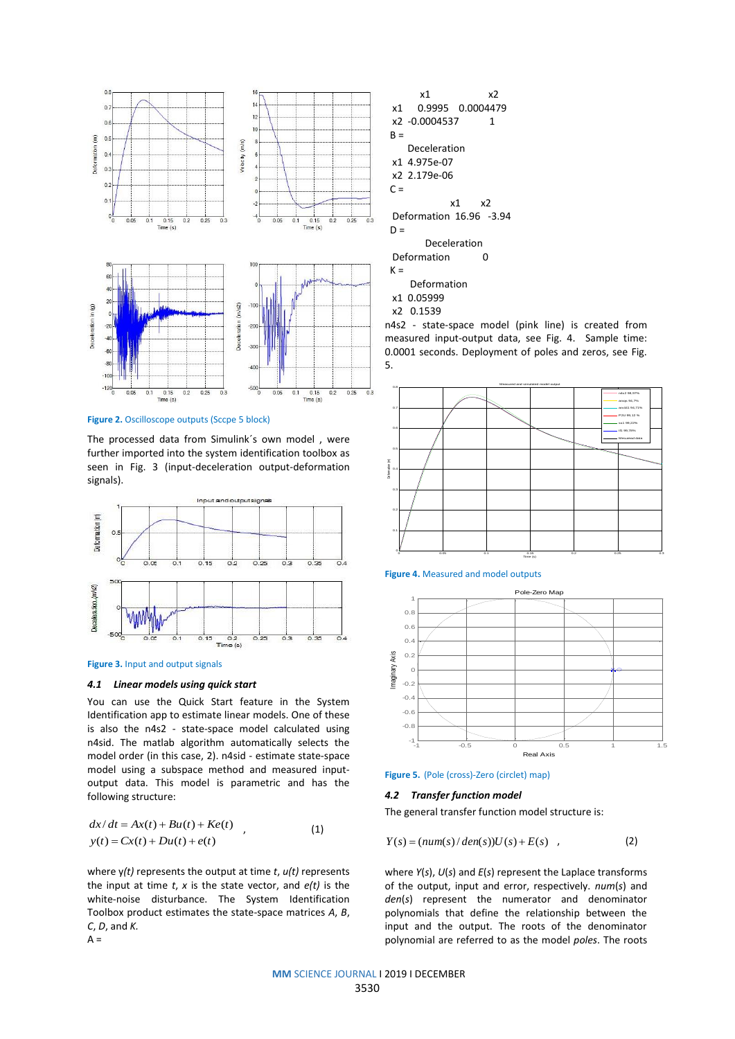

**Figure 2.** Oscilloscope outputs (Sccpe 5 block)

The processed data from Simulink´s own model , were further imported into the system identification toolbox as seen in Fig. 3 (input-deceleration output-deformation signals).



**Figure 3.** Input and output signals

#### *4.1 Linear models using quick start*

You can use the Quick Start feature in the System Identification app to estimate linear models. One of these is also the n4s2 - state-space model calculated using n4sid. The matlab algorithm automatically selects the model order (in this case, 2). n4sid - estimate state-space model using a subspace method and measured inputoutput data. This model is parametric and has the following structure:

$$
dx/dt = Ax(t) + Bu(t) + Ke(t)
$$
  
y(t) = Cx(t) + Du(t) + e(t) (1)

where y*(t)* represents the output at time *t*, *u(t)* represents the input at time *t*, *x* is the state vector, and *e(t)* is the white-noise disturbance. The System Identification Toolbox product estimates the state-space matrices *A*, *B*, *C*, *D*, and *K.*   $A =$ 

| x2<br>х1                |  |  |  |  |  |
|-------------------------|--|--|--|--|--|
| 0.9995 0.0004479<br>х1  |  |  |  |  |  |
| x2 -0.0004537<br>1      |  |  |  |  |  |
| B =                     |  |  |  |  |  |
| Deceleration            |  |  |  |  |  |
| x1 4.975e-07            |  |  |  |  |  |
| x2 2.179e-06            |  |  |  |  |  |
| C =                     |  |  |  |  |  |
| x1 x2                   |  |  |  |  |  |
| Deformation 16.96 -3.94 |  |  |  |  |  |
| D =                     |  |  |  |  |  |
| Deceleration            |  |  |  |  |  |
| Deformation<br>0        |  |  |  |  |  |
| K =                     |  |  |  |  |  |
| Deformation             |  |  |  |  |  |
|                         |  |  |  |  |  |

x2 0.1539

n4s2 - state-space model (pink line) is created from measured input-output data, see Fig. 4. Sample time: 0.0001 seconds. Deployment of poles and zeros, see Fig. 5.









#### *4.2 Transfer function model*

The general transfer function model structure is:

$$
Y(s) = (num(s)/den(s))U(s) + E(s) \quad , \tag{2}
$$

where *Y*(*s*), *U*(*s*) and *E*(*s*) represent the Laplace transforms of the output, input and error, respectively. *num*(*s*) and *den*(*s*) represent the numerator and denominator polynomials that define the relationship between the input and the output. The roots of the denominator polynomial are referred to as the model *poles*. The roots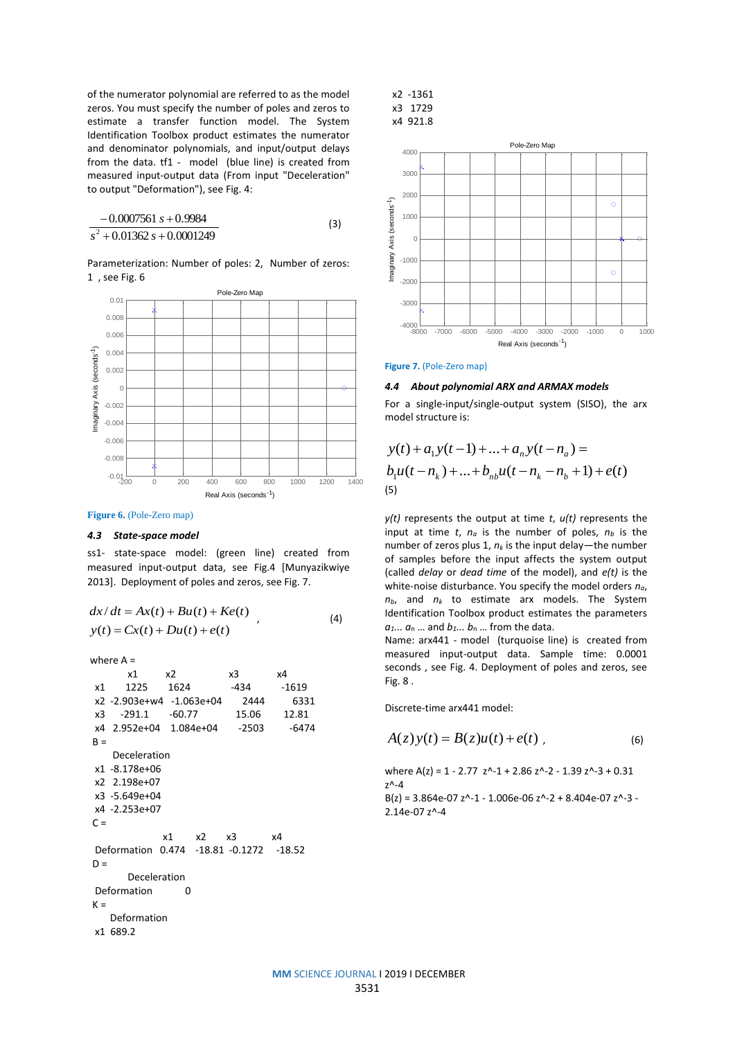of the numerator polynomial are referred to as the model zeros. You must specify the number of poles and zeros to estimate a transfer function model. The System Identification Toolbox product estimates the numerator and denominator polynomials, and input/output delays from the data. tf1 - model (blue line) is created from measured input-output data (From input "Deceleration" to output "Deformation"), see Fig. 4:

$$
\frac{-0.0007561 s + 0.9984}{s^2 + 0.01362 s + 0.0001249}
$$
 (3)

Parameterization: Number of poles: 2, Number of zeros: 1 , see Fig. 6



#### **Figure 6.** (Pole-Zero map)

#### *4.3 State-space model*

ss1- state-space model: (green line) created from measured input-output data, see Fig.4 [Munyazikwiye 2013]. Deployment of poles and zeros, see Fig. 7.

$$
dx/dt = Ax(t) + Bu(t) + Ke(t)
$$
  
\n
$$
y(t) = Cx(t) + Du(t) + e(t)
$$
\n(4)

where A =

|               | x1                                      | x2   |       | x3    | x4      |  |
|---------------|-----------------------------------------|------|-------|-------|---------|--|
| x1            | 1225 —                                  | 1624 |       | -434  | $-1619$ |  |
|               | x2 -2.903e+w4 -1.063e+04                |      |       | 2444  | 6331    |  |
| x3            | $-291.1 -60.77$                         |      |       | 15.06 | 12.81   |  |
|               | x4  2.952e+04  1.084e+04  -2503         |      |       |       | $-6474$ |  |
| B =           |                                         |      |       |       |         |  |
| Deceleration  |                                         |      |       |       |         |  |
|               | x1 -8.178e+06                           |      |       |       |         |  |
| x2 2.198e+07  |                                         |      |       |       |         |  |
| x3 -5.649e+04 |                                         |      |       |       |         |  |
| x4 -2.253e+07 |                                         |      |       |       |         |  |
| $C =$         |                                         |      |       |       |         |  |
|               |                                         | x1   | x2 x3 |       | χ4      |  |
|               | Deformation 0.474 -18.81 -0.1272 -18.52 |      |       |       |         |  |
| D =           |                                         |      |       |       |         |  |
| Deceleration  |                                         |      |       |       |         |  |
|               | Deformation                             | n    |       |       |         |  |
| $K =$         |                                         |      |       |       |         |  |
| Deformation   |                                         |      |       |       |         |  |
|               | x1 689.2                                |      |       |       |         |  |
|               |                                         |      |       |       |         |  |





**Figure 7.** (Pole-Zero map)

### *4.4 About polynomial ARX and ARMAX models*

For a single-input/single-output system (SISO), the arx model structure is:

$$
y(t) + a_1 y(t-1) + \dots + a_n y(t - n_a) =
$$
  
\n
$$
b_1 u(t - n_k) + \dots + b_{nb} u(t - n_k - n_b + 1) + e(t)
$$
  
\n(5)

*y(t)* represents the output at time *t*, *u(t)* represents the input at time  $t$ ,  $n_a$  is the number of poles,  $n_b$  is the number of zeros plus 1, *n<sup>k</sup>* is the input delay—the number of samples before the input affects the system output (called *delay* or *dead time* of the model), and *e(t)* is the white-noise disturbance. You specify the model orders *na*,  $n_b$ , and  $n_k$  to estimate arx models. The System Identification Toolbox product estimates the parameters  $a_1... a_n...$  and  $b_1... b_n...$  from the data.

Name: arx441 - model (turquoise line) is created from measured input-output data. Sample time: 0.0001 seconds , see Fig. 4. Deployment of poles and zeros, see Fig. 8 .

Discrete-time arx441 model:

$$
A(z)y(t) = B(z)u(t) + e(t) , \qquad (6)
$$

where  $A(z) = 1 - 2.77$   $z^2 - 1 + 2.86$   $z^2 - 2 - 1.39$   $z^2 - 3 + 0.31$ z^-4  $B(z) = 3.864e-07 z^2-1 - 1.006e-06 z^2-2 + 8.404e-07 z^2-3 -$ 2.14e-07 z^-4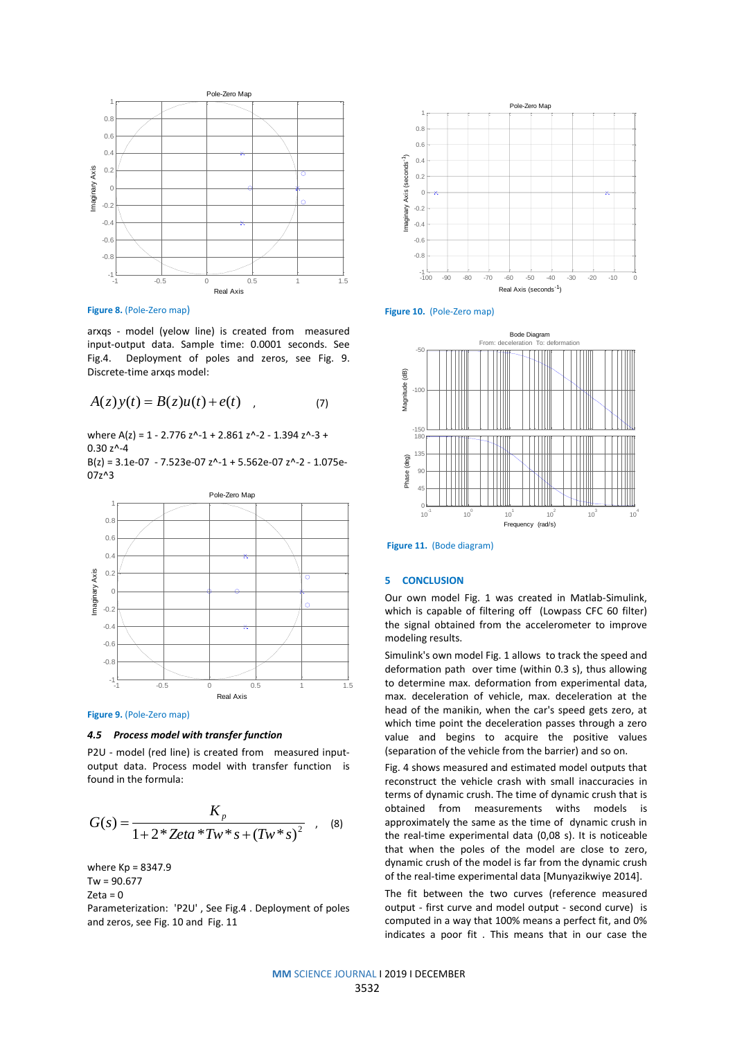

**Figure 8.** (Pole-Zero map)

arxqs - model (yelow line) is created from measured input-output data. Sample time: 0.0001 seconds. See Fig.4. Deployment of poles and zeros, see Fig. 9. Discrete-time arxqs model:

$$
A(z)y(t) = B(z)u(t) + e(t) \quad , \tag{7}
$$

where A(z) = 1 - 2.776 z^-1 + 2.861 z^-2 - 1.394 z^-3 + 0.30 z^-4

B(z) = 3.1e-07 - 7.523e-07 z^-1 + 5.562e-07 z^-2 - 1.075e-07z^3



**Figure 9.** (Pole-Zero map)

## *4.5 Process model with transfer function*

P2U - model (red line) is created from measured inputoutput data. Process model with transfer function is found in the formula:

$$
G(s) = \frac{K_p}{1 + 2 * Zeta * Tw * s + (Tw * s)^2} \quad , \quad (8)
$$

where Kp = 8347.9  $Tw = 90.677$  $7$ eta = 0

Parameterization: 'P2U' , See Fig.4 . Deployment of poles and zeros, see Fig. 10 and Fig. 11







**Figure 11.** (Bode diagram)

## **5 CONCLUSION**

Our own model Fig. 1 was created in Matlab-Simulink, which is capable of filtering off (Lowpass CFC 60 filter) the signal obtained from the accelerometer to improve modeling results.

Simulink's own model Fig. 1 allows to track the speed and deformation path over time (within 0.3 s), thus allowing to determine max. deformation from experimental data, max. deceleration of vehicle, max. deceleration at the head of the manikin, when the car's speed gets zero, at which time point the deceleration passes through a zero value and begins to acquire the positive values (separation of the vehicle from the barrier) and so on.

Fig. 4 shows measured and estimated model outputs that reconstruct the vehicle crash with small inaccuracies in terms of dynamic crush. The time of dynamic crush that is obtained from measurements withs models is approximately the same as the time of dynamic crush in the real-time experimental data (0,08 s). It is noticeable that when the poles of the model are close to zero, dynamic crush of the model is far from the dynamic crush of the real-time experimental data [Munyazikwiye 2014].

The fit between the two curves (reference measured output - first curve and model output - second curve) is computed in a way that 100% means a perfect fit, and 0% indicates a poor fit . This means that in our case the